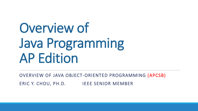Overview of Java Programming AP Edition

OVERVIEW OF JAVA OBJECT-ORIENTED PROGRAMMING (APCSB) ERIC Y. CHOU, PH.D. IEEE SENIOR MEMBER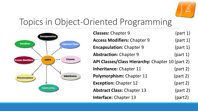

# Topics in Object-Oriented Programming



| <b>Classes: Chapter 9</b>                        | (part 1) |
|--------------------------------------------------|----------|
| <b>Access Modifiers: Chapter 9</b>               | (part 1) |
| <b>Encapsulation: Chapter 9</b>                  | (part 1) |
| <b>Abstraction: Chapter 9</b>                    | (part 1) |
| API Classes/Class Hierarchy: Chapter 10 (part 2) |          |
| <b>Inheritance: Chapter 11</b>                   | (part 2) |
| Polymorphism: Chapter 11                         | (part 2) |
| <b>Exception: Chapter 12</b>                     | (part 2) |
| <b>Abstract Class: Chapter 13</b>                | (part 2) |
| <b>Interface: Chapter 13</b>                     | (part2)  |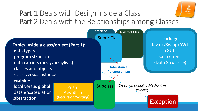

### Part 1 Deals with Design inside a Class Part 2 Deals with the Relationships among Classes

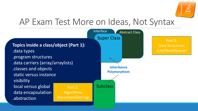

### AP Exam Test More on Ideas, Not Syntax

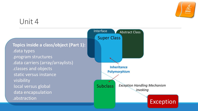

#### Unit 4

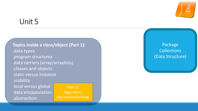

### Unit 5

**Topics inside a class/object (Part 1):** .data types .program structures .data carriers (array/arraylists) .classes and objects static versus instance visibility local versus global data encapsulation .abstraction Part 2: Algorithms (Recursion/Sorting)

Package **Collections** (Data Structure)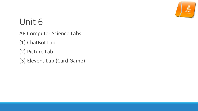

# Unit 6

AP Computer Science Labs:

(1) ChatBot Lab

(2) Picture Lab

(3) Elevens Lab (Card Game)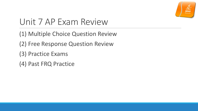

# Unit 7 AP Exam Review

(1) Multiple Choice Question Review

(2) Free Response Question Review

(3) Practice Exams

(4) Past FRQ Practice